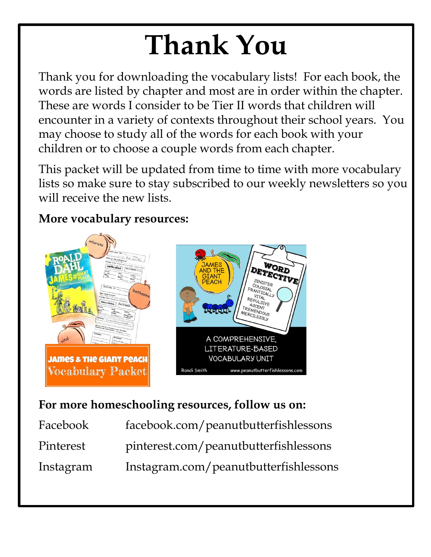# **Thank You**

Thank you for downloading the vocabulary lists! For each book, the words are listed by chapter and most are in order within the chapter. These are words I consider to be Tier II words that children will encounter in a variety of contexts throughout their school years. You may choose to study all of the words for each book with your children or to choose a couple words from each chapter.

This packet will be updated from time to time with more vocabulary lists so make sure to stay subscribed to our weekly newsletters so you will receive the new lists.

#### **More vocabulary resources:**



#### **For more homeschooling resources, follow us on:**

| Facebook  | facebook.com/peanutbutterfishlessons  |
|-----------|---------------------------------------|
| Pinterest | pinterest.com/peanutbutterfishlessons |
| Instagram | Instagram.com/peanutbutterfishlessons |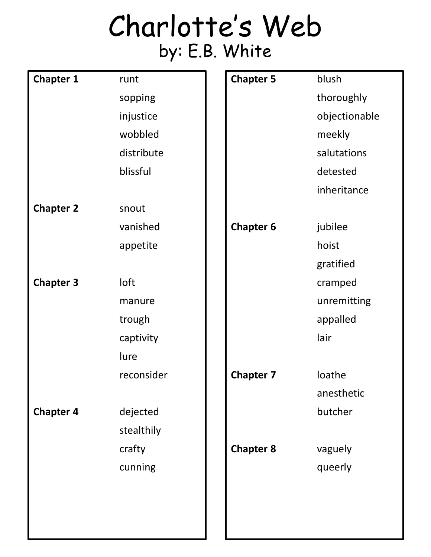### Charlotte's Web by: E.B. White

| <b>Chapter 1</b> | runt       | <b>Chapter 5</b> | blush         |
|------------------|------------|------------------|---------------|
|                  | sopping    |                  | thoroughly    |
|                  | injustice  |                  | objectionable |
|                  | wobbled    |                  | meekly        |
|                  | distribute |                  | salutations   |
|                  | blissful   |                  | detested      |
|                  |            |                  | inheritance   |
| <b>Chapter 2</b> | snout      |                  |               |
|                  | vanished   | <b>Chapter 6</b> | jubilee       |
|                  | appetite   |                  | hoist         |
|                  |            |                  | gratified     |
| <b>Chapter 3</b> | loft       |                  | cramped       |
|                  | manure     |                  | unremitting   |
|                  | trough     |                  | appalled      |
|                  | captivity  |                  | lair          |
|                  | lure       |                  |               |
|                  | reconsider | <b>Chapter 7</b> | loathe        |
|                  |            |                  | anesthetic    |
| <b>Chapter 4</b> | dejected   |                  | butcher       |
|                  | stealthily |                  |               |
|                  | crafty     | <b>Chapter 8</b> | vaguely       |
|                  | cunning    |                  | queerly       |
|                  |            |                  |               |
|                  |            |                  |               |
|                  |            |                  |               |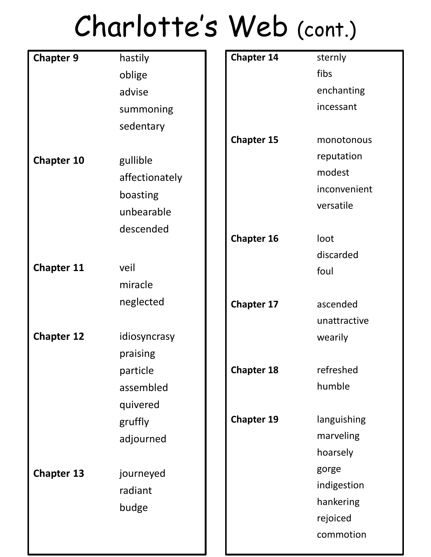# Charlotte's Web (cont.)

| <b>Chapter 9</b>  | hastily        | <b>Chapter 14</b> | sternly      |
|-------------------|----------------|-------------------|--------------|
|                   | oblige         |                   | fibs         |
|                   | advise         |                   | enchanting   |
|                   | summoning      |                   | incessant    |
|                   | sedentary      |                   |              |
|                   |                | <b>Chapter 15</b> | monotonous   |
| <b>Chapter 10</b> | gullible       |                   | reputation   |
|                   | affectionately |                   | modest       |
|                   | boasting       |                   | inconvenient |
|                   | unbearable     |                   | versatile    |
|                   | descended      |                   |              |
|                   |                | <b>Chapter 16</b> | loot         |
|                   |                |                   | discarded    |
| <b>Chapter 11</b> | veil           |                   | foul         |
|                   | miracle        |                   |              |
|                   | neglected      | <b>Chapter 17</b> | ascended     |
|                   |                |                   | unattractive |
| <b>Chapter 12</b> | idiosyncrasy   |                   | wearily      |
|                   | praising       |                   |              |
|                   | particle       | <b>Chapter 18</b> | refreshed    |
|                   | assembled      |                   | humble       |
|                   | quivered       |                   |              |
|                   | gruffly        | <b>Chapter 19</b> | languishing  |
|                   | adjourned      |                   | marveling    |
|                   |                |                   | hoarsely     |
| <b>Chapter 13</b> | journeyed      |                   | gorge        |
|                   | radiant        |                   | indigestion  |
|                   | budge          |                   | hankering    |
|                   |                |                   | rejoiced     |
|                   |                |                   | commotion    |
|                   |                |                   |              |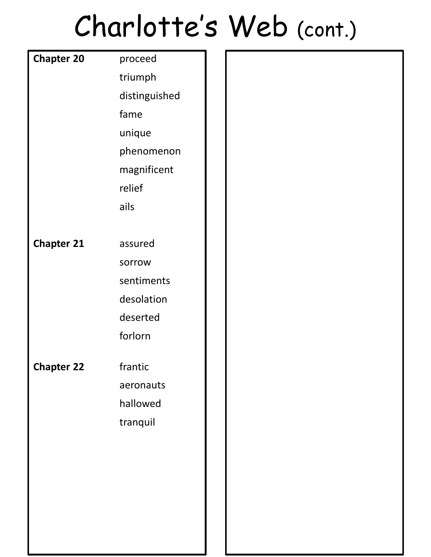## Charlotte's Web (cont.)

| <b>Chapter 20</b> | proceed       |  |  |  |
|-------------------|---------------|--|--|--|
|                   | triumph       |  |  |  |
|                   | distinguished |  |  |  |
|                   | fame          |  |  |  |
|                   | unique        |  |  |  |
|                   | phenomenon    |  |  |  |
|                   | magnificent   |  |  |  |
|                   | relief        |  |  |  |
|                   | ails          |  |  |  |
|                   |               |  |  |  |
| <b>Chapter 21</b> | assured       |  |  |  |
|                   | sorrow        |  |  |  |
|                   | sentiments    |  |  |  |
|                   | desolation    |  |  |  |
|                   | deserted      |  |  |  |
|                   | forlorn       |  |  |  |
| <b>Chapter 22</b> | frantic       |  |  |  |
|                   | aeronauts     |  |  |  |
|                   | hallowed      |  |  |  |
|                   | tranquil      |  |  |  |
|                   |               |  |  |  |
|                   |               |  |  |  |
|                   |               |  |  |  |
|                   |               |  |  |  |
|                   |               |  |  |  |
|                   |               |  |  |  |
|                   |               |  |  |  |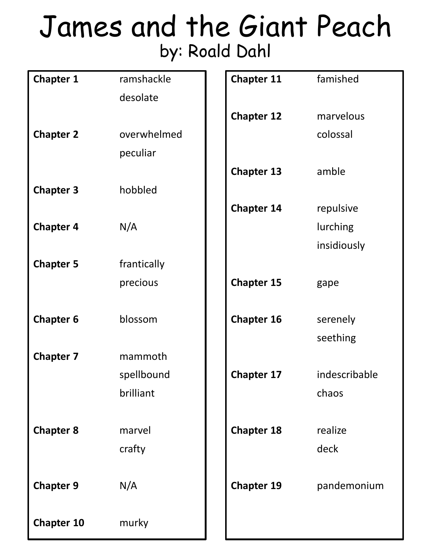### James and the Giant Peach by: Roald Dahl

| <b>Chapter 1</b>  | ramshackle  | <b>Chapter 11</b> | famished      |
|-------------------|-------------|-------------------|---------------|
|                   | desolate    |                   |               |
|                   |             | <b>Chapter 12</b> | marvelous     |
| <b>Chapter 2</b>  | overwhelmed |                   | colossal      |
|                   | peculiar    |                   |               |
|                   |             | <b>Chapter 13</b> | amble         |
| <b>Chapter 3</b>  | hobbled     |                   |               |
|                   |             | <b>Chapter 14</b> | repulsive     |
| <b>Chapter 4</b>  | N/A         |                   | lurching      |
|                   |             |                   | insidiously   |
| <b>Chapter 5</b>  | frantically |                   |               |
|                   | precious    | <b>Chapter 15</b> | gape          |
|                   |             |                   |               |
| <b>Chapter 6</b>  | blossom     | <b>Chapter 16</b> | serenely      |
|                   |             |                   | seething      |
| <b>Chapter 7</b>  | mammoth     |                   |               |
|                   | spellbound  | <b>Chapter 17</b> | indescribable |
|                   | brilliant   |                   | chaos         |
|                   |             |                   |               |
| <b>Chapter 8</b>  | marvel      | <b>Chapter 18</b> | realize       |
|                   | crafty      |                   | deck          |
|                   |             |                   |               |
| <b>Chapter 9</b>  | N/A         | <b>Chapter 19</b> | pandemonium   |
|                   |             |                   |               |
| <b>Chapter 10</b> | murky       |                   |               |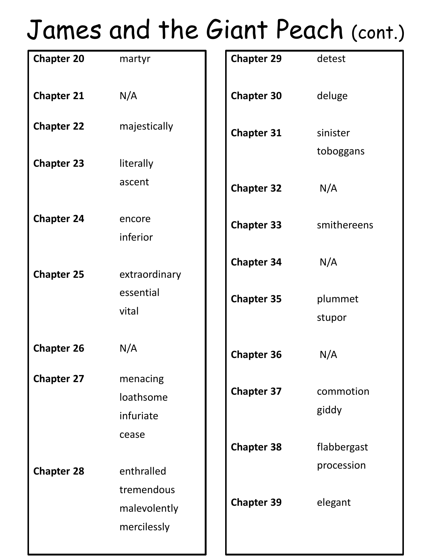### James and the Giant Peach (cont.)

| <b>Chapter 20</b> | martyr        | <b>Chapter 29</b> | detest      |
|-------------------|---------------|-------------------|-------------|
|                   |               |                   |             |
|                   |               |                   |             |
| <b>Chapter 21</b> | N/A           | <b>Chapter 30</b> | deluge      |
|                   |               |                   |             |
| <b>Chapter 22</b> | majestically  | <b>Chapter 31</b> | sinister    |
|                   |               |                   |             |
| <b>Chapter 23</b> | literally     |                   | toboggans   |
|                   |               |                   |             |
|                   | ascent        | <b>Chapter 32</b> | N/A         |
|                   |               |                   |             |
| <b>Chapter 24</b> | encore        | <b>Chapter 33</b> | smithereens |
|                   | inferior      |                   |             |
|                   |               |                   |             |
|                   |               | <b>Chapter 34</b> | N/A         |
| <b>Chapter 25</b> | extraordinary |                   |             |
|                   | essential     | <b>Chapter 35</b> | plummet     |
|                   | vital         |                   | stupor      |
|                   |               |                   |             |
| <b>Chapter 26</b> | N/A           |                   |             |
|                   |               | <b>Chapter 36</b> | N/A         |
| <b>Chapter 27</b> | menacing      |                   |             |
|                   |               | <b>Chapter 37</b> | commotion   |
|                   | loathsome     |                   | giddy       |
|                   | infuriate     |                   |             |
|                   | cease         |                   |             |
|                   |               | <b>Chapter 38</b> | flabbergast |
| <b>Chapter 28</b> | enthralled    |                   | procession  |
|                   |               |                   |             |
|                   | tremendous    | <b>Chapter 39</b> | elegant     |
|                   | malevolently  |                   |             |
|                   | mercilessly   |                   |             |
|                   |               |                   |             |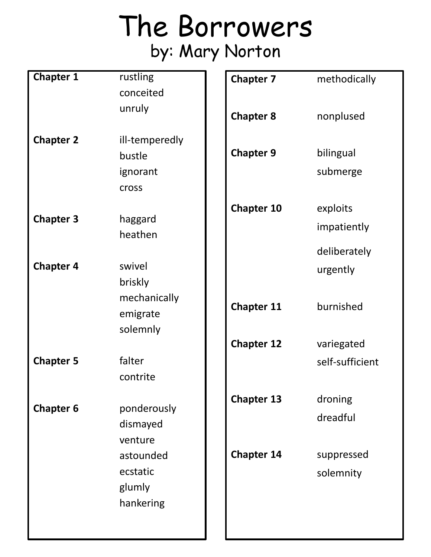### The Borrowers by: Mary Norton

| <b>Chapter 1</b> | rustling       | <b>Chapter 7</b>  | methodically    |
|------------------|----------------|-------------------|-----------------|
|                  | conceited      |                   |                 |
|                  | unruly         |                   |                 |
|                  |                | <b>Chapter 8</b>  | nonplused       |
| <b>Chapter 2</b> | ill-temperedly |                   |                 |
|                  | bustle         | <b>Chapter 9</b>  | bilingual       |
|                  | ignorant       |                   | submerge        |
|                  | cross          |                   |                 |
|                  |                |                   |                 |
| <b>Chapter 3</b> | haggard        | <b>Chapter 10</b> | exploits        |
|                  | heathen        |                   | impatiently     |
|                  |                |                   | deliberately    |
| <b>Chapter 4</b> | swivel         |                   | urgently        |
|                  | briskly        |                   |                 |
|                  | mechanically   | <b>Chapter 11</b> | burnished       |
|                  | emigrate       |                   |                 |
|                  | solemnly       |                   |                 |
|                  |                | <b>Chapter 12</b> | variegated      |
| <b>Chapter 5</b> | falter         |                   | self-sufficient |
|                  | contrite       |                   |                 |
| <b>Chapter 6</b> | ponderously    | <b>Chapter 13</b> | droning         |
|                  | dismayed       |                   | dreadful        |
|                  | venture        |                   |                 |
|                  | astounded      | <b>Chapter 14</b> | suppressed      |
|                  | ecstatic       |                   | solemnity       |
|                  | glumly         |                   |                 |
|                  | hankering      |                   |                 |
|                  |                |                   |                 |
|                  |                |                   |                 |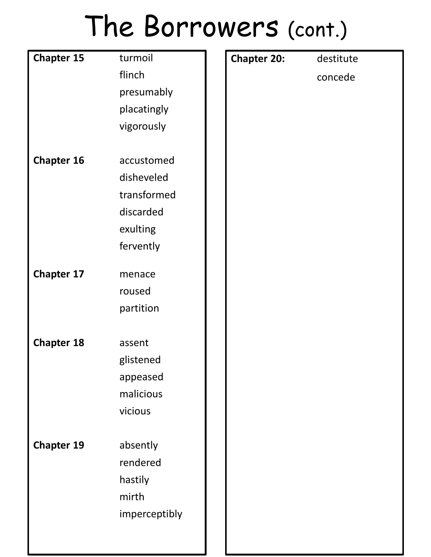# The Borrowers (cont.)

| <b>Chapter 15</b> | turmoil       | <b>Chapter 20:</b> | destitute |
|-------------------|---------------|--------------------|-----------|
|                   | flinch        |                    | concede   |
|                   | presumably    |                    |           |
|                   | placatingly   |                    |           |
|                   | vigorously    |                    |           |
|                   |               |                    |           |
| <b>Chapter 16</b> | accustomed    |                    |           |
|                   | disheveled    |                    |           |
|                   | transformed   |                    |           |
|                   | discarded     |                    |           |
|                   | exulting      |                    |           |
|                   | fervently     |                    |           |
| <b>Chapter 17</b> | menace        |                    |           |
|                   | roused        |                    |           |
|                   | partition     |                    |           |
|                   |               |                    |           |
| <b>Chapter 18</b> | assent        |                    |           |
|                   | glistened     |                    |           |
|                   | appeased      |                    |           |
|                   | malicious     |                    |           |
|                   | vicious       |                    |           |
| <b>Chapter 19</b> | absently      |                    |           |
|                   | rendered      |                    |           |
|                   | hastily       |                    |           |
|                   | mirth         |                    |           |
|                   | imperceptibly |                    |           |
|                   |               |                    |           |
|                   |               |                    |           |

J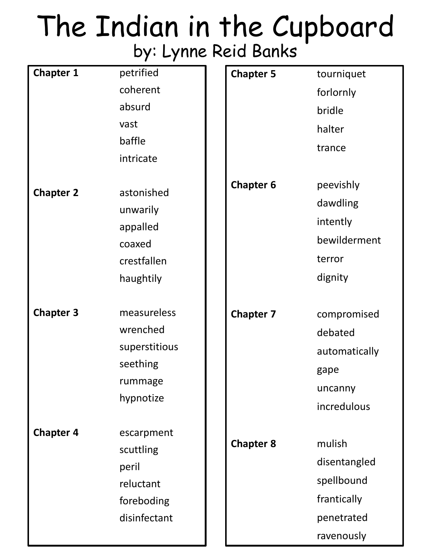### The Indian in the Cupboard by: Lynne Reid Banks

| <b>Chapter 1</b> | petrified     | <b>Chapter 5</b> | tourniquet    |
|------------------|---------------|------------------|---------------|
|                  | coherent      |                  | forlornly     |
|                  | absurd        |                  | bridle        |
|                  | vast          |                  | halter        |
|                  | baffle        |                  | trance        |
|                  | intricate     |                  |               |
|                  |               | <b>Chapter 6</b> | peevishly     |
| <b>Chapter 2</b> | astonished    |                  | dawdling      |
|                  | unwarily      |                  |               |
|                  | appalled      |                  | intently      |
|                  | coaxed        |                  | bewilderment  |
|                  | crestfallen   |                  | terror        |
|                  | haughtily     |                  | dignity       |
|                  |               |                  |               |
| <b>Chapter 3</b> | measureless   | <b>Chapter 7</b> | compromised   |
|                  | wrenched      |                  | debated       |
|                  | superstitious |                  | automatically |
|                  | seething      |                  | gape          |
|                  | rummage       |                  | uncanny       |
|                  | hypnotize     |                  | incredulous   |
|                  |               |                  |               |
| <b>Chapter 4</b> | escarpment    | <b>Chapter 8</b> | mulish        |
|                  | scuttling     |                  | disentangled  |
|                  | peril         |                  | spellbound    |
|                  | reluctant     |                  | frantically   |
|                  | foreboding    |                  |               |
|                  | disinfectant  |                  | penetrated    |
|                  |               |                  | ravenously    |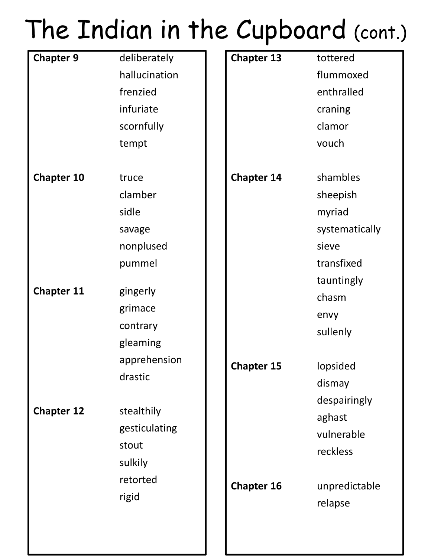### The Indian in the Cupboard (cont.)

| <b>Chapter 9</b>  | deliberately  | <b>Chapter 13</b> | tottered       |
|-------------------|---------------|-------------------|----------------|
|                   | hallucination |                   | flummoxed      |
|                   | frenzied      |                   | enthralled     |
|                   | infuriate     |                   | craning        |
|                   |               |                   | clamor         |
|                   | scornfully    |                   |                |
|                   | tempt         |                   | vouch          |
| <b>Chapter 10</b> | truce         | <b>Chapter 14</b> | shambles       |
|                   | clamber       |                   | sheepish       |
|                   | sidle         |                   | myriad         |
|                   | savage        |                   | systematically |
|                   | nonplused     |                   | sieve          |
|                   | pummel        |                   | transfixed     |
|                   |               |                   | tauntingly     |
| <b>Chapter 11</b> | gingerly      |                   | chasm          |
|                   | grimace       |                   | envy           |
|                   | contrary      |                   | sullenly       |
|                   | gleaming      |                   |                |
|                   | apprehension  | <b>Chapter 15</b> | lopsided       |
|                   | drastic       |                   | dismay         |
|                   |               |                   | despairingly   |
| <b>Chapter 12</b> | stealthily    |                   | aghast         |
|                   | gesticulating |                   | vulnerable     |
|                   | stout         |                   |                |
|                   | sulkily       |                   | reckless       |
|                   | retorted      |                   |                |
|                   | rigid         | <b>Chapter 16</b> | unpredictable  |
|                   |               |                   | relapse        |
|                   |               |                   |                |